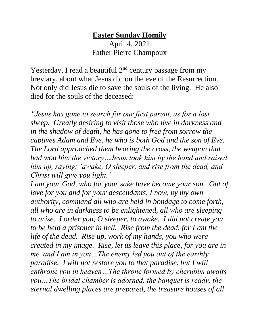## **Easter Sunday Homily**

April 4, 2021 Father Pierre Champoux

Yesterday, I read a beautiful  $2<sup>nd</sup>$  century passage from my breviary, about what Jesus did on the eve of the Resurrection. Not only did Jesus die to save the souls of the living. He also died for the souls of the deceased:

*"Jesus has gone to search for our first parent, as for a lost sheep. Greatly desiring to visit those who live in darkness and in the shadow of death, he has gone to free from sorrow the captives Adam and Eve, he who is both God and the son of Eve. The Lord approached them bearing the cross, the weapon that had won him the victory…Jesus took him by the hand and raised him up, saying: 'awake, O sleeper, and rise from the dead, and Christ will give you light.'*

*I am your God, who for your sake have become your son. Out of love for you and for your descendants, I now, by my own authority, command all who are held in bondage to come forth, all who are in darkness to be enlightened, all who are sleeping to arise. I order you, O sleeper, to awake. I did not create you to be held a prisoner in hell. Rise from the dead, for I am the life of the dead. Rise up, work of my hands, you who were created in my image. Rise, let us leave this place, for you are in me, and I am in you…The enemy led you out of the earthly paradise. I will not restore you to that paradise, but I will enthrone you in heaven…The throne formed by cherubim awaits you…The bridal chamber is adorned, the banquet is ready, the eternal dwelling places are prepared, the treasure houses of all*